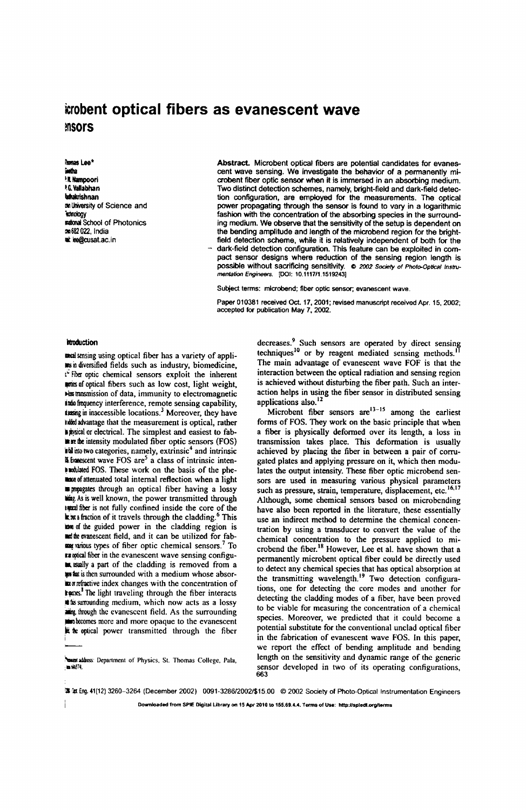# **icrobent optical fibers as evanescent wave msors**

iIMas Lee\* iuma II.Nampoori <sup>1</sup> G. Vallabhan **b<sub>thai</sub>crishnan** an University of Science and idnology Edonal School of Photonics m. 682 022, India at lee@cusat.ac.in

Abstract. Microbent optical fibers are potential candidates for evanescent wave sensing. We investigate the behavior of a permanently microbent fiber optic sensor when it Is immersed in an absorbing medium. Two distinct detection schemes, namely, bright-field and dark-field detection configuration, are employed for the measurements. The optical power propagating through the sensor is found to vary in a logarithmic fashion with the concentration of the absorbing species in the surrounding medium. We observe that the sensitivity of the setup is dependent on the bending amplitude and length of the microbend region for the brightfield detection scheme, while it is relatively independent of both for the dark-field detection configuration. This feature can be exploited in compact sensor designs where reduction of the sensing region length is possible without sacrificing sensitivity.  $\bullet$  2002 Society of Photo-Optical Instru*mentation Engineers.* [001: 10.111711.15192431

Subject terms: microbend; fiber optic sensor; evanescent wave.

Paper 010381 received Oct. 17.2001; revised manuscript received Apr. 15.2002; accepted for publication May 7. 2002.

## **Introduction**

meal sensing using optical fiber has a variety of appli-IIli in diversified fields such as industry, biomedicine, t': Filler optic chemical sensors exploit the inherent was of optical fibers such as low cost, light weight, Assumas ission of data, immunity to electromagnetic linio frequency interference, remote sensing capability,  $t$  is in inaccessible locations.<sup>3</sup> Moreover, they have idded advantage that the measurement is optical, rather<br>special or electrical. The simplest and easiest to fablear the intensity modulated fiber optic sensors (FOS) It is into two categories, namely, extrinsic<sup>4</sup> and intrinsic **If the scent wave FOS are**  $S$  **a class of intrinsic inten-**~\_Iated FOS. These work on the basis of the phelimon of attenuated total internal reflection when a light *m* propagates through an optical fiber having a lossy If the As is well known, the power transmitted through 1 fiber is not fully confined inside the core of the k at a fraction of it travels through the cladding.<sup>6</sup> This issue of the guided power in the cladding region is not the evanescent field, and it can be utilized for fab $m$ g various types of fiber optic chemical sensors.<sup>7</sup> To ra optical fiber in the evanescent wave sensing configu-.lISU3Ily a part of the cladding is removed from a ... is then surrounded with a medium whose absor-La refractive index changes with the concentration of  $k$ gxs.<sup>8</sup> The light traveling through the fiber interacts .!lussurrounding medium, which now acts as a lossy ~ through the evanescent field. As the surrounding .-becomes more and more opaque to the evanescent <sup>~</sup>111: optical power transmitted through the fiber decreases.9 Such sensors are operated by direct sensing techniques<sup>10</sup> or by reagent mediated sensing methods. The main advantage of evanescent wave FOF is that the interaction between the optical radiation and sensing region is achieved without disturbing the fiber path. Such an interaction helps in using the fiber sensor in distributed sensing applications also.<sup>12</sup>

Microbent fiber sensors are<sup>13-15</sup> among the earliest forms of FOS. They work on the basic principle that when a fiber is physically defonned over its length, a loss in transmission takes place. This deformation is usually achieved by placing the fiber in between a pair of corrugated plates and applying pressure on it, which then modulates the output intensity. These fiber optic microbend sensors are used in measuring various physical parameters such as pressure, strain, temperature, displacement, etc.<sup>16,17</sup> Although, some chemical sensors based on microbcnding have also been reported in the literature, these essentially use an indirect method to determine the chemical concentration by using a transducer to convert the value of the chemical concentration to the pressure applied to microbend the fiber.<sup>18</sup> However, Lee et al. have shown that a permanently microbent optical fiber could be directly used to detect any chemical species that has optical absorption at the transmitting wavelength.<sup>19</sup> Two detection configurations, one for detecting the core modes and another for detecting the cladding modes of a fiber, have been proved to be viable for measuring the concentration of a chemical species. Moreover, we predicted that it could become a potential substitute for the conventional unclad optical fiber in the fabrication of evanescent wave FOS. In this paper, we report the effect of bending amplitude and bending length on the sensitivity and dynamic range of the generic sensor developed in two of its operating configurations, 663

**Newest address:** Department of Physics, St. Thomas College, Pala, :.!iW4.

i3 ':et Eng. 41(12) 3260-3264 (December 2002) 0091·3286/20021\$15.00 © 2002 Society of Photo-Optical Instrumentation Engineers J.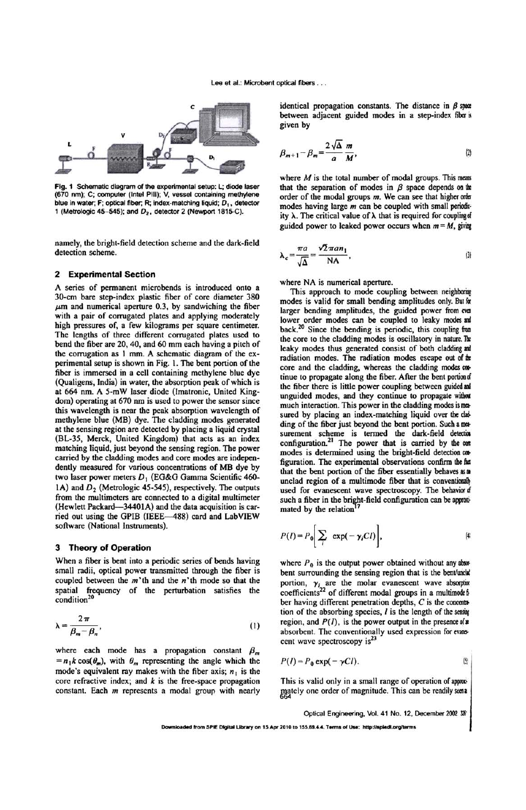

blue in water; F; optical fiber; R; index-matching liquid;  $D_1$ , detector 1 (Metrologic 45-545); and  $D_2$ , detector 2 (Newport 1815-C).

namely, the bright-field detection scheme and the dark·field detection scheme.

## 2 Experimental Section

A series of permanent microbends is introduced onto a 30-cm bare step-index plastic fiber of core diameter 380  $\mu$ m and numerical aperture 0.3, by sandwiching the fiber with a pair of corrugated plates and applying moderately high pressures of, a few kilograms per square centimcter. The lengths of three different corrugated plates used to bend the fiber are 20, 40, and 60 mm each having a pitch of the corrugation as I mm. A schematic diagram of the experimental setup is shown in Fig. 1. The bent portion of the fiber is immersed in a cell containing methylene blue dye (Qualigens, India) in water, the absorption peak of which is at 664 nm. A 5-mW laser diode (Imatronic, United Kingdom) operating at 670 nm is used to power the sensor since this wavelength is near the peak absorption wavelength of methylene blue (MB) dye. The cladding modes generated at the sensing region are detected by placing a liquid crystal (BL-35, Merck, United Kingdom) that acts as an index matching liquid, just beyond the sensing region. The power carried by the cladding modes and core modes are independently measured for various concentrations of MB dye by two laser power meters  $D_1$  (EG&G Gamma Scientific 460-1A) and  $D_2$  (Metrologic 45-545), respectively. The outputs from the multimclers are connccted to a digital multimeter (Hewlett Packard-34401A) and the data acquisition is carried out using the GPIB (JEEE-488) card and LabVIEW software (National Instruments).

# 3 Theory of Operation

When a fiber is bent into a periodic series of bends having small radii, optical power transmitted through the fiber is coupled between the  $m$ 'th and the  $n$ 'th mode so that the spatial frequency of the perturbation satisfies the  $\text{condition}^{20}$ 

$$
\lambda = \frac{2\pi}{\beta_m - \beta_n},\tag{1}
$$

where each mode has a propagation constant  $\beta_m$  $= n_1 k \cos(\theta_m)$ , with  $\theta_m$  representing the angle which the mode's equivalent ray makes with the fiber axis;  $n_1$  is the core refractive index; and  $k$  is the free-space propagation constant. Each *m* represents a modal group with nearly identical propagation constants. The distance in  $\beta$  space between adjacent guided modes in a step-index fiber is given by

$$
\beta_{m+1} - \beta_m = \frac{2\sqrt{\Delta}}{a} \frac{m}{M},\tag{2}
$$

where  $M$  is the total number of modal groups. This means that the separation of modes in  $\beta$  space depends on the order of the modal groups *m*. We can see that higher order modes having large *m* can be coupled with small periodicity  $\lambda$ . The critical value of  $\lambda$  that is required for coupling of guided power to leaked power occurs when  $m = M$ , giving

$$
\lambda_c = \frac{\pi a}{\sqrt{\Delta}} = \frac{\sqrt{2}\pi a n_1}{\text{NA}},\tag{3}
$$

where NA is numerical aperture.

This approach to mode coupling between neighboring modes is valid for small bending amplitudes only. But for larger bending amplitudes, the guided power from eva lower order modes can be coupled to leaky modes and back.<sup>20</sup> Since the bending is periodic, this coupling from the core to the cladding modes is oscillatory in nature. The leaky modes thus generated consist of both cladding and radiation modes. The radiation modes escape out of the core and the cladding, whereas the cladding modes cotinue to propagate along the fiber. After the bent portion of the fiber there is little power coupling between guided and unguided modes, and they continue to propagate without much interaction. This power in the cladding modes is masured by placing an index-matching liquid over the class ding of the fiber just beyond the bent portion. Such a mesurement scheme is termed the dark-field detection configuration.<sup>21</sup> The power that is carried by the  $\alpha$ modes is determined using the bright-field detection cofiguration. The experimental observations confirm the fut that the bent portion of the fiber essentially behaves as a unclad region of a multimode fiber that is conventionally used for evanescent wave spectroscopy. The behavior of such a fiber in the bright-field configuration can be approximated by the relation<sup>1</sup>

$$
P(I) = P_0 \bigg[ \sum_i \exp(-\gamma_i C I) \bigg],
$$
 (4)

where  $P_0$  is the output power obtained without any absobent surrounding the sensing region that is the bent/undal portion,  $\gamma_i$  are the molar evanescent wave absorption coefficients<sup>22</sup> of different modal groups in a multimode  $\frac{1}{2}$  ber having different penetration depths, C is the concentrition of the absorbing species,  $l$  is the length of the sensing region, and  $P(1)$ , is the power output in the presence of  $\mathbf z$ absorbent. The conventionally used expression for evans cent wave spectroscopy is<sup>23</sup>

$$
P(I) = P_0 \exp(-\gamma C I). \tag{5}
$$

This is valid only in a small range of operation of appromately one order of magnitude. This can be readily seens

Optical Engineering, Vol. 41 No. 12, December 2002 38

mioaded from SPIE Digital Library on 15 Apr 2010 to 155.69.4.4. Terms of Use: http://spiedi.org/terms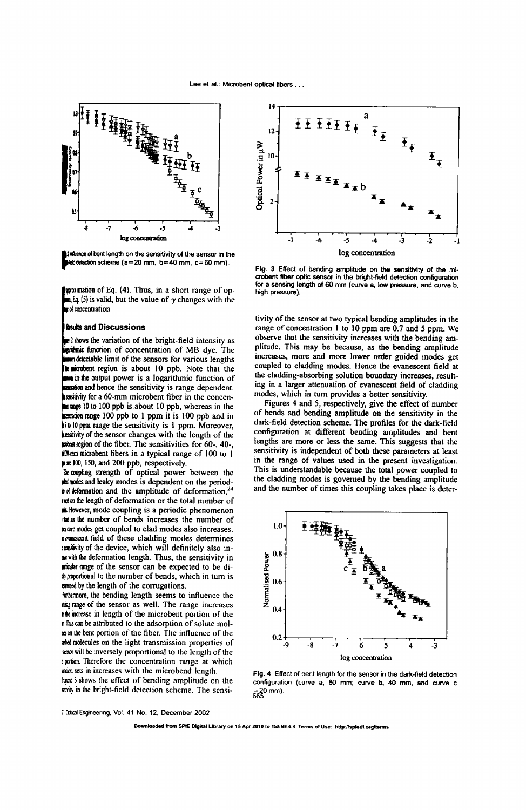

Inliance of bent length on the sensitivity of the sensor in the **p-deIedion** scheme (a=20 mm, b=40 mm, c=60 mm).

 $\frac{1}{2}$  movimation of Eq. (4). Thus, in a short range of op- $\mathbf{E}$ ,  $\mathbf{E}$ ,  $\mathbf{E}$ ,  $\mathbf{E}$  (5) is valid, but the value of  $\gamma$  changes with the  $\bullet$  soft concentration.

#### **Results and Discussions**

2 shows the variation of the bright-field intensity as entimic function of concentration of MB dye. The um detectable limit of the sensors for various lengths **It microbent region is about 10 ppb.** Note that the in the output power is a logarithmic function of ion and hence the sensitivity is range dependent. restivity for a 60-mm microbent fiber in the concen**nume 10 to 100 ppb is about 10 ppb, whereas in the** station range 100 ppb to 1 ppm it is 100 ppb and in kilO 10 ppm range the sensitivity is I ppm. Moreover, tunstivity of the sensor changes with the length of the when region of the fiber. The sensitivities for 60-, 40-,  $\#$ mm microbent fibers in a typical range of 100 to 1 **EIR 100, 150, and 200 ppb, respectively.** 

lie coupling strength of optical power between the lid modes and leaky modes is dependent on the periodn of deformation and the amplitude of deformation, rat on the length of deformation or the total number of  $\dot{p}$  However, mode coupling is a periodic phenomenon the as the number of bends increases the number of is are modes get coupled to clad modes also increases. **IMPLER FOURIER FIELD FIELD** fourimativity of the device, which will definitely also in- $\equiv$  with the deformation length. Thus, the sensitivity in micular range of the sensor can be expected to be di- $*$  proportional to the number of bends, which in turn is **ISI** interest by the length of the corrugations.

fathermore, the bending length seems to influence the have range of the sensor as well. The range increases the increase in length of the microbent portion of the ~ Il",is can be attributed to the adsorption of solute molin on the bent portion of the fiber. The influence of the ated molecules on the light transmission properties of .~ will be inversely proportional to the length of the 'ponion. Therefore the concentration range at which mon sets in increases with the microbend length.

~ 3 shows the eITect of bending amplitude on the sivity in the bright-field detection scheme. The sensi-



Fig. 3 Effect of bending amplitude on the sensitivity of the microbent fiber optic sensor in the bright-field detection configuration for a sensing length of 60 mm (curve a, low pressure, and curve b, high pressure).

tivity of the sensor at two typical bending amplitudes in the range of concentration 1 to 10 ppm are  $0.7$  and 5 ppm. We observe that the sensitivity increases with the bending amplitude. This may be because, as the bending amplitude increases, more and more lower order guided modes get coupled to cladding modes. Hence the evanescent field at the cladding-absorbing solution boundary increases, resulting in a larger attenuation of evanescent field of cladding modes, which in turn provides a better sensitivity.

Figures 4 and 5, respectively, give the effect of number of bends and bending amplitude on the sensitivity in the dark-field detection scheme. The profiles for the dark-field configuration at different bending amplitudes and bent lengths are more or less the same. This suggests that the sensitivity is independent of both these parameters at least in the range of values used in the present investigation. This is understandable because the total power coupled to the cladding modes is governed by the bending amplitude and the number of times this coupling takes place is deter-



Fig. 4 Effect of bent length for the sensor in the dark-field detection configuration (curve a, 60 mm; curve b, 40 mm, and curve c  $=$  20 mm).

~ ~ Engineering, Vo!. 41 No. 12, December 2002

Downloaded from SPIE Digital Library on 15 Apr 2010 to 155.69.4.4. Terms of Use: http://spiedl.org/terms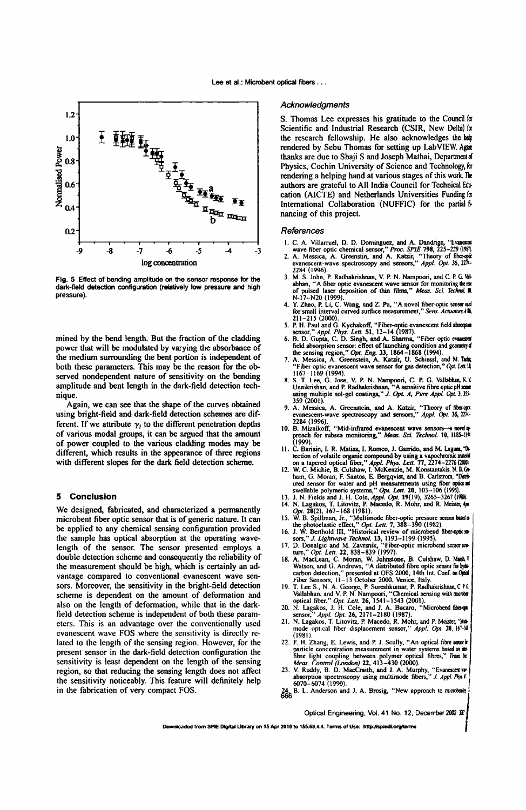

Fig. 5 Effect of bending amplitude on the sensor response for the dark-field detection configuration (relatively low pressure and high pressure).

mined by the bend length. But the fraction of the cladding power that will be modulated by varying the absorbance of the medium surrounding the bent portion is independent of both these parameters. This may be the reason for the observed nondependent nature of sensitivity on the bending amplitude and bent length in the dark-field detection technique.

Again, we can see that the shape of the curves obtained using bright-field and dark-field detection schemes are different. If we attribute  $\gamma_i$  to the different penetration depths of various modal groups, it can be argued that the amount of power coupled to the various cladding modes may be different, which results in the appearance of three regions with different slopes for the dark field detection scheme.

## **5 Conclusion**

We designed, fabricated, and characterized a permanently microbent flber optic sensor that is of generic nature. It can be applied to any chemical sensing configuration provided the sample has optical absorption at the operating wavelength of the sensor. The sensor presented employs a double detection scheme and consequently the reliability of the measurement should be high, which is certainly an advantage compared to conventional evanescent wave sensors. Moreover, the sensitivity in the bright-field detection scheme is dependent on the amount of defonnation and also on the length of deformation, while that in the darkfield detection scheme is independent of both these parameters. This is an advantage over the conventionally used evanescent wave FOS where the sensitivity is directly related to the length of the sensing region. However, for the present sensor in the dark-field detection configuration the sensitivity is least dependent on the length of the sensing region, so that reducing the sensing length does not affect the sensitivity noticeably. This feature will definitely help in the fabrication of very compact FOS.

#### Acknowledgments

S. Thomas Lee expresses his gratitude to the Council for Scientific and Industrial Research (CSIR, New Delhi) fir the research fellowship. He also acknowledges the help rendered by Sebu Thomas for setting up LabVIEW. Again thanks are due to Shaji S and Joseph Mathai, Department of Physics, Cochin University of Science and Technology, for rendering a helping hand at various stages of this work. The authors are grateful to All India Council for Technical Education (AICTE) and Netherlands Universities Funding fur International Collaboration (NUFFIC) for the partial financing of this project.

#### References

- I. C. A. Villarruel, D. D. Dominguez, and A. Dandrige, "Evanescai" wave fiber optic chemical sensor, "*Proc. SPIE* 798, 225-229 (1987).
- 2. A. Messica, A. Greenstin, and A. Katzir, ~Theory of fibcr-qii evanescent-wave Speclroscopy and sensors," *Appl. Opt.* 35, 2214·
- 2284 (1996).<br>3. M. S. John, P. Radhakrishnan, V. P. N. Nampoori, and C. P. G. Wills<br>abhan, "A fiber optic evanescent wave sensor for monitoring the rate of pulsed laser deposition of thin films," Meas. Sci. Technol. it N-17-N20 (1999).
- 4. Y. Zhao, P. Li, C. Wang, and Z. Pu, "A novel fiber-optic sense ad for small interval curved surface measurement," *Sens. Actuators*  $\mathbf{A}$ 211-215 (2000).
- 5. P. H. Paul and G. Kychakoff, "Fiber-optic evanescent field absorted
- sensor," Appl. Phys. Lett. 51, 12-14 (1987).<br>6. B. D. Gupta, C. D. Singh, and A. Sharma, "Fiber optic evanests"<br>field absorption sensor: effect of launching condition and geometry the sensing region," Opt. Eng. 33, 1864-1
- 1167-1169 (1994).
- 8. S. T. Lee, G. Jose, V. P. N. Nampoori, C. P. G. Vallabhan, N. V. Unnikrishan. and P. Radhakrishnan, "A sensitive fibre optic pH sense using multiple sol-gel coatings," J. Opt. A, Pure Appl. Opt. 3. 135-359 (2001).
- 9. A. Messica, A. Greenstein, and A. Katzir, "Theory of fiber.oris evanescent-wave spectroscopy and sensors," *Appl. Opt.* 35, 27<sup>14</sup>
- 2284 (1996).<br>
10. B. Mizaikoff, "Mid-infrared evanescent wave sensors—a novd proced for subsea monitoring," Meas. *Sci. Technol.* 10, 1185-114<br>
(1999).
- 
- 11. C. Bariain, I. R. Matias, I. Romeo, J. Garrido, and M. Laguna, "Detection of volatile organic compound by using a vapochronic materical fiber, "Appl. Phys. Lett. 77, 2274-2276 (2000)<br>12. W. C. Michie, B. Culshaw, I. M
- 
- 
- 
- 
- 
- 
- 
- 
- particle concentration measurement in water systems based on as-<br>fibre light coupling between polymer optical fibres." *Trax is*<br>fibre light coupling between polymer optical fibres." *Trax is*<br>*Meas. Control (London)* 22,
- 23. V. Ruddy, B. D. MacCraith. and J. A. Murphy, "Evanescent we absorption spectroscopy using multimode fibers," *J. Appl. Fira* it 6070-6074 (1990).
- 24. B. L. Anderson and J. A. Brosig, "New approach to microbale

Optical Engineering, Vol. 41 No. 12, December 2002 32

nicaded from SPIE Digital Library on 15 Apr 2010 to 155.69.4.4. Terms of Use: http://spiedl.org/te